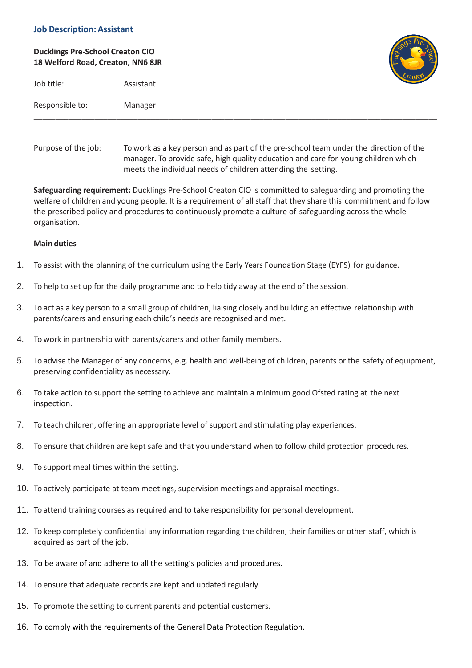## **Job Description: Assistant**

# **Ducklings Pre-School Creaton CIO 18 Welford Road, Creaton, NN6 8JR**

Job title: Assistant



| Responsible to: | Manager |
|-----------------|---------|
|                 |         |

Purpose of the job: To work as a key person and as part of the pre-school team under the direction of the manager. To provide safe, high quality education and care for young children which meets the individual needs of children attending the setting.

\_\_\_\_\_\_\_\_\_\_\_\_\_\_\_\_\_\_\_\_\_\_\_\_\_\_\_\_\_\_\_\_\_\_\_\_\_\_\_\_\_\_\_\_\_\_\_\_\_\_\_\_\_\_\_\_\_\_\_\_\_\_\_\_\_\_\_\_\_\_\_\_\_\_\_\_\_\_\_\_\_\_\_\_\_\_\_\_\_\_\_\_\_

**Safeguarding requirement:** Ducklings Pre-School Creaton CIO is committed to safeguarding and promoting the welfare of children and young people. It is a requirement of all staff that they share this commitment and follow the prescribed policy and procedures to continuously promote a culture of safeguarding across the whole organisation.

## **Main duties**

- 1. To assist with the planning of the curriculum using the Early Years Foundation Stage (EYFS) for guidance.
- 2. To help to set up for the daily programme and to help tidy away at the end of the session.
- 3. To act as a key person to a small group of children, liaising closely and building an effective relationship with parents/carers and ensuring each child's needs are recognised and met.
- 4. To work in partnership with parents/carers and other family members.
- 5. To advise the Manager of any concerns, e.g. health and well-being of children, parents or the safety of equipment, preserving confidentiality as necessary.
- 6. To take action to support the setting to achieve and maintain a minimum good Ofsted rating at the next inspection.
- 7. To teach children, offering an appropriate level of support and stimulating play experiences.
- 8. To ensure that children are kept safe and that you understand when to follow child protection procedures.
- 9. To support meal times within the setting.
- 10. To actively participate at team meetings, supervision meetings and appraisal meetings.
- 11. To attend training courses as required and to take responsibility for personal development.
- 12. To keep completely confidential any information regarding the children, their families or other staff, which is acquired as part of the job.
- 13. To be aware of and adhere to all the setting's policies and procedures.
- 14. To ensure that adequate records are kept and updated regularly.
- 15. To promote the setting to current parents and potential customers.
- 16. To comply with the requirements of the General Data Protection Regulation.